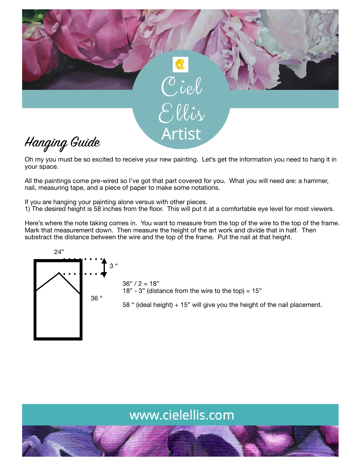

Oh my you must be so excited to receive your new painting. Let's get the information you need to hang it in your space.

All the paintings come pre-wired so I've got that part covered for you. What you will need are: a hammer, nail, measuring tape, and a piece of paper to make some notations.

If you are hanging your painting alone versus with other pieces.

1) The desired height is 58 inches from the floor. This will put it at a comfortable eye level for most viewers.

Here's where the note taking comes in. You want to measure from the top of the wire to the top of the frame. Mark that measurement down. Then measure the height of the art work and divide that in half. Then substract the distance between the wire and the top of the frame. Put the nail at that height.